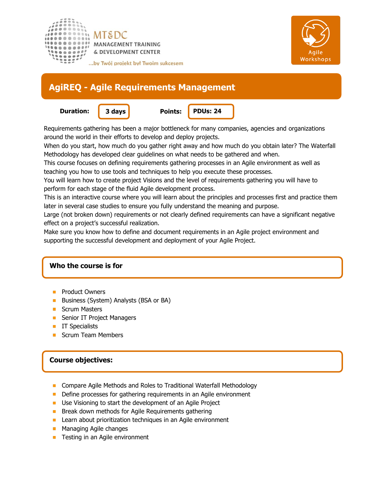



# **AgiREQ - Agile Requirements Management**

**Duration: 3 days Points:**



**PDUs: 24**

Requirements gathering has been a major bottleneck for many companies, agencies and organizations around the world in their efforts to develop and deploy projects.

When do you start, how much do you gather right away and how much do you obtain later? The Waterfall Methodology has developed clear guidelines on what needs to be gathered and when.

This course focuses on defining requirements gathering processes in an Agile environment as well as teaching you how to use tools and techniques to help you execute these processes.

You will learn how to create project Visions and the level of requirements gathering you will have to perform for each stage of the fluid Agile development process.

This is an interactive course where you will learn about the principles and processes first and practice them later in several case studies to ensure you fully understand the meaning and purpose.

Large (not broken down) requirements or not clearly defined requirements can have a significant negative effect on a project's successful realization.

Make sure you know how to define and document requirements in an Agile project environment and supporting the successful development and deployment of your Agile Project.

## **Who the course is for**

- Product Owners
- Business (System) Analysts (BSA or BA)
- Scrum Masters
- **Senior IT Project Managers**
- **IT Specialists**
- Scrum Team Members

## **Course objectives:**

- **Compare Agile Methods and Roles to Traditional Waterfall Methodology**
- Define processes for gathering requirements in an Agile environment
- **Use Visioning to start the development of an Agile Project**
- **Break down methods for Agile Requirements gathering**
- Learn about prioritization techniques in an Agile environment  $\mathcal{C}^{\mathcal{A}}$
- **Managing Agile changes**
- Testing in an Agile environment